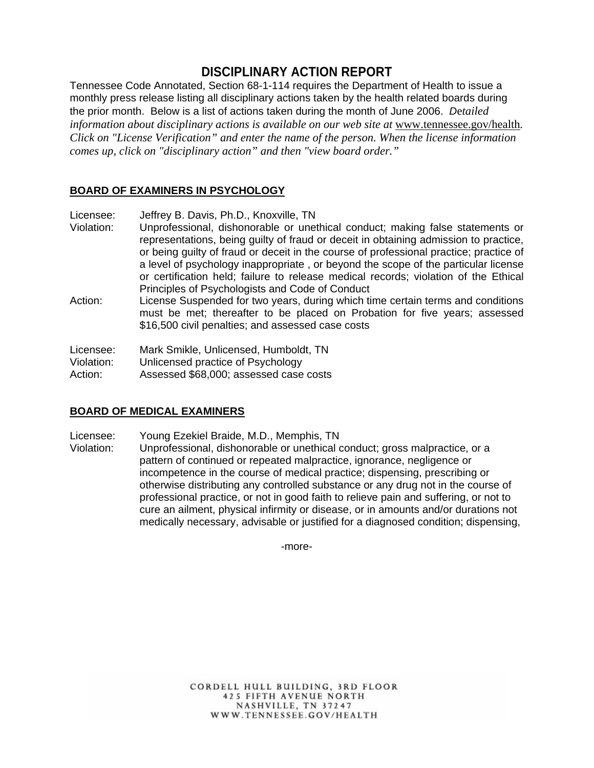# **DISCIPLINARY ACTION REPORT**

Tennessee Code Annotated, Section 68-1-114 requires the Department of Health to issue a monthly press release listing all disciplinary actions taken by the health related boards during the prior month. Below is a list of actions taken during the month of June 2006. *D*e*tailed information about disciplinary actions is available on our web site at www.tennessee.gov/health. Click on "License Verification" and enter the name of the person. When the license information comes up, click on "disciplinary action" and then "view board order."* 

## **BOARD OF EXAMINERS IN PSYCHOLOGY**

Licensee: Jeffrey B. Davis, Ph.D., Knoxville, TN

- Violation: Unprofessional, dishonorable or unethical conduct; making false statements or representations, being guilty of fraud or deceit in obtaining admission to practice, or being guilty of fraud or deceit in the course of professional practice; practice of a level of psychology inappropriate , or beyond the scope of the particular license or certification held; failure to release medical records; violation of the Ethical Principles of Psychologists and Code of Conduct
- Action: License Suspended for two years, during which time certain terms and conditions must be met; thereafter to be placed on Probation for five years; assessed \$16,500 civil penalties; and assessed case costs

Licensee: Mark Smikle, Unlicensed, Humboldt, TN

Violation: Unlicensed practice of Psychology

Action: Assessed \$68,000; assessed case costs

# **BOARD OF MEDICAL EXAMINERS**

Licensee: Young Ezekiel Braide, M.D., Memphis, TN

Violation: Unprofessional, dishonorable or unethical conduct; gross malpractice, or a pattern of continued or repeated malpractice, ignorance, negligence or incompetence in the course of medical practice; dispensing, prescribing or otherwise distributing any controlled substance or any drug not in the course of professional practice, or not in good faith to relieve pain and suffering, or not to cure an ailment, physical infirmity or disease, or in amounts and/or durations not medically necessary, advisable or justified for a diagnosed condition; dispensing,

-more-

CORDELL HULL BUILDING, 3RD FLOOR **425 FIFTH AVENUE NORTH** NASHVILLE, TN 37247 WWW.TENNESSEE.GOV/HEALTH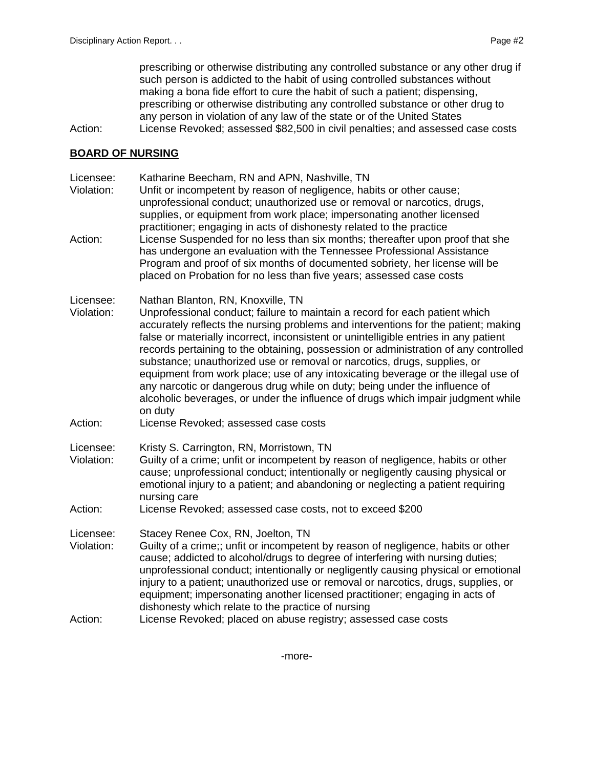prescribing or otherwise distributing any controlled substance or any other drug if such person is addicted to the habit of using controlled substances without making a bona fide effort to cure the habit of such a patient; dispensing, prescribing or otherwise distributing any controlled substance or other drug to any person in violation of any law of the state or of the United States

Action: License Revoked; assessed \$82,500 in civil penalties; and assessed case costs

## **BOARD OF NURSING**

Licensee: Katharine Beecham, RN and APN, Nashville, TN

- Violation: Unfit or incompetent by reason of negligence, habits or other cause; unprofessional conduct; unauthorized use or removal or narcotics, drugs, supplies, or equipment from work place; impersonating another licensed practitioner; engaging in acts of dishonesty related to the practice
- Action: License Suspended for no less than six months; thereafter upon proof that she has undergone an evaluation with the Tennessee Professional Assistance Program and proof of six months of documented sobriety, her license will be placed on Probation for no less than five years; assessed case costs
- Licensee: Nathan Blanton, RN, Knoxville, TN
- Violation: Unprofessional conduct; failure to maintain a record for each patient which accurately reflects the nursing problems and interventions for the patient; making false or materially incorrect, inconsistent or unintelligible entries in any patient records pertaining to the obtaining, possession or administration of any controlled substance; unauthorized use or removal or narcotics, drugs, supplies, or equipment from work place; use of any intoxicating beverage or the illegal use of any narcotic or dangerous drug while on duty; being under the influence of alcoholic beverages, or under the influence of drugs which impair judgment while on duty
- Action: License Revoked; assessed case costs
- Licensee: Kristy S. Carrington, RN, Morristown, TN
- Violation: Guilty of a crime; unfit or incompetent by reason of negligence, habits or other cause; unprofessional conduct; intentionally or negligently causing physical or emotional injury to a patient; and abandoning or neglecting a patient requiring nursing care
- Action: License Revoked; assessed case costs, not to exceed \$200

Licensee: Stacey Renee Cox, RN, Joelton, TN

- Violation: Guilty of a crime;; unfit or incompetent by reason of negligence, habits or other cause; addicted to alcohol/drugs to degree of interfering with nursing duties; unprofessional conduct; intentionally or negligently causing physical or emotional injury to a patient; unauthorized use or removal or narcotics, drugs, supplies, or equipment; impersonating another licensed practitioner; engaging in acts of dishonesty which relate to the practice of nursing
- Action: License Revoked; placed on abuse registry; assessed case costs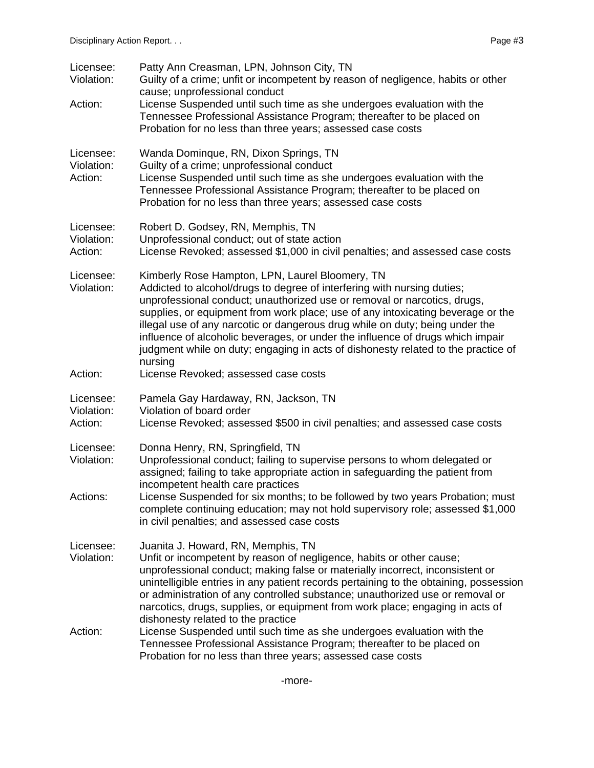| Licensee:<br>Violation:            | Patty Ann Creasman, LPN, Johnson City, TN<br>Guilty of a crime; unfit or incompetent by reason of negligence, habits or other<br>cause; unprofessional conduct                                                                                                                                                                                                                                                                                                                                                                                              |
|------------------------------------|-------------------------------------------------------------------------------------------------------------------------------------------------------------------------------------------------------------------------------------------------------------------------------------------------------------------------------------------------------------------------------------------------------------------------------------------------------------------------------------------------------------------------------------------------------------|
| Action:                            | License Suspended until such time as she undergoes evaluation with the<br>Tennessee Professional Assistance Program; thereafter to be placed on<br>Probation for no less than three years; assessed case costs                                                                                                                                                                                                                                                                                                                                              |
| Licensee:<br>Violation:<br>Action: | Wanda Dominque, RN, Dixon Springs, TN<br>Guilty of a crime; unprofessional conduct<br>License Suspended until such time as she undergoes evaluation with the<br>Tennessee Professional Assistance Program; thereafter to be placed on<br>Probation for no less than three years; assessed case costs                                                                                                                                                                                                                                                        |
| Licensee:<br>Violation:<br>Action: | Robert D. Godsey, RN, Memphis, TN<br>Unprofessional conduct; out of state action<br>License Revoked; assessed \$1,000 in civil penalties; and assessed case costs                                                                                                                                                                                                                                                                                                                                                                                           |
| Licensee:<br>Violation:            | Kimberly Rose Hampton, LPN, Laurel Bloomery, TN<br>Addicted to alcohol/drugs to degree of interfering with nursing duties;<br>unprofessional conduct; unauthorized use or removal or narcotics, drugs,<br>supplies, or equipment from work place; use of any intoxicating beverage or the<br>illegal use of any narcotic or dangerous drug while on duty; being under the<br>influence of alcoholic beverages, or under the influence of drugs which impair<br>judgment while on duty; engaging in acts of dishonesty related to the practice of<br>nursing |
| Action:                            | License Revoked; assessed case costs                                                                                                                                                                                                                                                                                                                                                                                                                                                                                                                        |
| Licensee:<br>Violation:<br>Action: | Pamela Gay Hardaway, RN, Jackson, TN<br>Violation of board order<br>License Revoked; assessed \$500 in civil penalties; and assessed case costs                                                                                                                                                                                                                                                                                                                                                                                                             |
| Licensee:<br>Violation:            | Donna Henry, RN, Springfield, TN<br>Unprofessional conduct; failing to supervise persons to whom delegated or<br>assigned; failing to take appropriate action in safeguarding the patient from<br>incompetent health care practices                                                                                                                                                                                                                                                                                                                         |
| Actions:                           | License Suspended for six months; to be followed by two years Probation; must<br>complete continuing education; may not hold supervisory role; assessed \$1,000<br>in civil penalties; and assessed case costs                                                                                                                                                                                                                                                                                                                                              |
| Licensee:<br>Violation:            | Juanita J. Howard, RN, Memphis, TN<br>Unfit or incompetent by reason of negligence, habits or other cause;<br>unprofessional conduct; making false or materially incorrect, inconsistent or<br>unintelligible entries in any patient records pertaining to the obtaining, possession<br>or administration of any controlled substance; unauthorized use or removal or<br>narcotics, drugs, supplies, or equipment from work place; engaging in acts of<br>dishonesty related to the practice                                                                |
| Action:                            | License Suspended until such time as she undergoes evaluation with the<br>Tennessee Professional Assistance Program; thereafter to be placed on<br>Probation for no less than three years; assessed case costs                                                                                                                                                                                                                                                                                                                                              |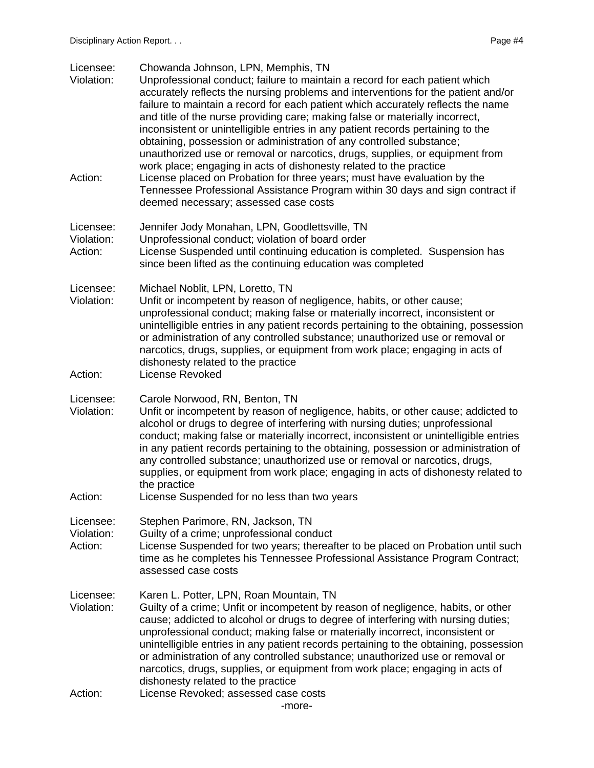| Licensee:<br>Violation:            | Chowanda Johnson, LPN, Memphis, TN<br>Unprofessional conduct; failure to maintain a record for each patient which<br>accurately reflects the nursing problems and interventions for the patient and/or<br>failure to maintain a record for each patient which accurately reflects the name<br>and title of the nurse providing care; making false or materially incorrect,<br>inconsistent or unintelligible entries in any patient records pertaining to the<br>obtaining, possession or administration of any controlled substance;<br>unauthorized use or removal or narcotics, drugs, supplies, or equipment from   |
|------------------------------------|-------------------------------------------------------------------------------------------------------------------------------------------------------------------------------------------------------------------------------------------------------------------------------------------------------------------------------------------------------------------------------------------------------------------------------------------------------------------------------------------------------------------------------------------------------------------------------------------------------------------------|
| Action:                            | work place; engaging in acts of dishonesty related to the practice<br>License placed on Probation for three years; must have evaluation by the<br>Tennessee Professional Assistance Program within 30 days and sign contract if<br>deemed necessary; assessed case costs                                                                                                                                                                                                                                                                                                                                                |
| Licensee:<br>Violation:<br>Action: | Jennifer Jody Monahan, LPN, Goodlettsville, TN<br>Unprofessional conduct; violation of board order<br>License Suspended until continuing education is completed. Suspension has<br>since been lifted as the continuing education was completed                                                                                                                                                                                                                                                                                                                                                                          |
| Licensee:<br>Violation:<br>Action: | Michael Noblit, LPN, Loretto, TN<br>Unfit or incompetent by reason of negligence, habits, or other cause;<br>unprofessional conduct; making false or materially incorrect, inconsistent or<br>unintelligible entries in any patient records pertaining to the obtaining, possession<br>or administration of any controlled substance; unauthorized use or removal or<br>narcotics, drugs, supplies, or equipment from work place; engaging in acts of<br>dishonesty related to the practice<br>License Revoked                                                                                                          |
| Licensee:<br>Violation:<br>Action: | Carole Norwood, RN, Benton, TN<br>Unfit or incompetent by reason of negligence, habits, or other cause; addicted to<br>alcohol or drugs to degree of interfering with nursing duties; unprofessional<br>conduct; making false or materially incorrect, inconsistent or unintelligible entries<br>in any patient records pertaining to the obtaining, possession or administration of<br>any controlled substance; unauthorized use or removal or narcotics, drugs,<br>supplies, or equipment from work place; engaging in acts of dishonesty related to<br>the practice<br>License Suspended for no less than two years |
| Licensee:<br>Violation:<br>Action: | Stephen Parimore, RN, Jackson, TN<br>Guilty of a crime; unprofessional conduct<br>License Suspended for two years; thereafter to be placed on Probation until such<br>time as he completes his Tennessee Professional Assistance Program Contract;<br>assessed case costs                                                                                                                                                                                                                                                                                                                                               |
| Licensee:<br>Violation:            | Karen L. Potter, LPN, Roan Mountain, TN<br>Guilty of a crime; Unfit or incompetent by reason of negligence, habits, or other<br>cause; addicted to alcohol or drugs to degree of interfering with nursing duties;<br>unprofessional conduct; making false or materially incorrect, inconsistent or<br>unintelligible entries in any patient records pertaining to the obtaining, possession<br>or administration of any controlled substance; unauthorized use or removal or<br>narcotics, drugs, supplies, or equipment from work place; engaging in acts of<br>dishonesty related to the practice                     |
| Action:                            | License Revoked; assessed case costs<br>-more-                                                                                                                                                                                                                                                                                                                                                                                                                                                                                                                                                                          |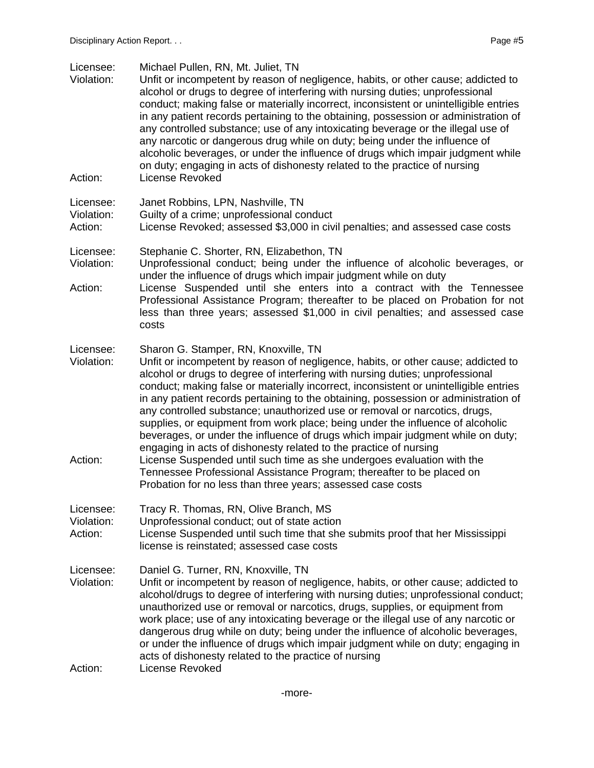| Licensee:<br>Violation:            | Michael Pullen, RN, Mt. Juliet, TN<br>Unfit or incompetent by reason of negligence, habits, or other cause; addicted to<br>alcohol or drugs to degree of interfering with nursing duties; unprofessional<br>conduct; making false or materially incorrect, inconsistent or unintelligible entries<br>in any patient records pertaining to the obtaining, possession or administration of<br>any controlled substance; use of any intoxicating beverage or the illegal use of<br>any narcotic or dangerous drug while on duty; being under the influence of<br>alcoholic beverages, or under the influence of drugs which impair judgment while<br>on duty; engaging in acts of dishonesty related to the practice of nursing |
|------------------------------------|------------------------------------------------------------------------------------------------------------------------------------------------------------------------------------------------------------------------------------------------------------------------------------------------------------------------------------------------------------------------------------------------------------------------------------------------------------------------------------------------------------------------------------------------------------------------------------------------------------------------------------------------------------------------------------------------------------------------------|
| Action:                            | License Revoked                                                                                                                                                                                                                                                                                                                                                                                                                                                                                                                                                                                                                                                                                                              |
| Licensee:<br>Violation:<br>Action: | Janet Robbins, LPN, Nashville, TN<br>Guilty of a crime; unprofessional conduct<br>License Revoked; assessed \$3,000 in civil penalties; and assessed case costs                                                                                                                                                                                                                                                                                                                                                                                                                                                                                                                                                              |
| Licensee:<br>Violation:            | Stephanie C. Shorter, RN, Elizabethon, TN<br>Unprofessional conduct; being under the influence of alcoholic beverages, or                                                                                                                                                                                                                                                                                                                                                                                                                                                                                                                                                                                                    |
| Action:                            | under the influence of drugs which impair judgment while on duty<br>License Suspended until she enters into a contract with the Tennessee<br>Professional Assistance Program; thereafter to be placed on Probation for not<br>less than three years; assessed \$1,000 in civil penalties; and assessed case<br>costs                                                                                                                                                                                                                                                                                                                                                                                                         |
| Licensee:<br>Violation:            | Sharon G. Stamper, RN, Knoxville, TN<br>Unfit or incompetent by reason of negligence, habits, or other cause; addicted to<br>alcohol or drugs to degree of interfering with nursing duties; unprofessional<br>conduct; making false or materially incorrect, inconsistent or unintelligible entries<br>in any patient records pertaining to the obtaining, possession or administration of<br>any controlled substance; unauthorized use or removal or narcotics, drugs,<br>supplies, or equipment from work place; being under the influence of alcoholic<br>beverages, or under the influence of drugs which impair judgment while on duty;<br>engaging in acts of dishonesty related to the practice of nursing           |
| Action:                            | License Suspended until such time as she undergoes evaluation with the<br>Tennessee Professional Assistance Program; thereafter to be placed on<br>Probation for no less than three years; assessed case costs                                                                                                                                                                                                                                                                                                                                                                                                                                                                                                               |
| Licensee:<br>Violation:<br>Action: | Tracy R. Thomas, RN, Olive Branch, MS<br>Unprofessional conduct; out of state action<br>License Suspended until such time that she submits proof that her Mississippi<br>license is reinstated; assessed case costs                                                                                                                                                                                                                                                                                                                                                                                                                                                                                                          |
| Licensee:<br>Violation:            | Daniel G. Turner, RN, Knoxville, TN<br>Unfit or incompetent by reason of negligence, habits, or other cause; addicted to<br>alcohol/drugs to degree of interfering with nursing duties; unprofessional conduct;<br>unauthorized use or removal or narcotics, drugs, supplies, or equipment from<br>work place; use of any intoxicating beverage or the illegal use of any narcotic or<br>dangerous drug while on duty; being under the influence of alcoholic beverages,<br>or under the influence of drugs which impair judgment while on duty; engaging in<br>acts of dishonesty related to the practice of nursing                                                                                                        |
| Action:                            | <b>License Revoked</b>                                                                                                                                                                                                                                                                                                                                                                                                                                                                                                                                                                                                                                                                                                       |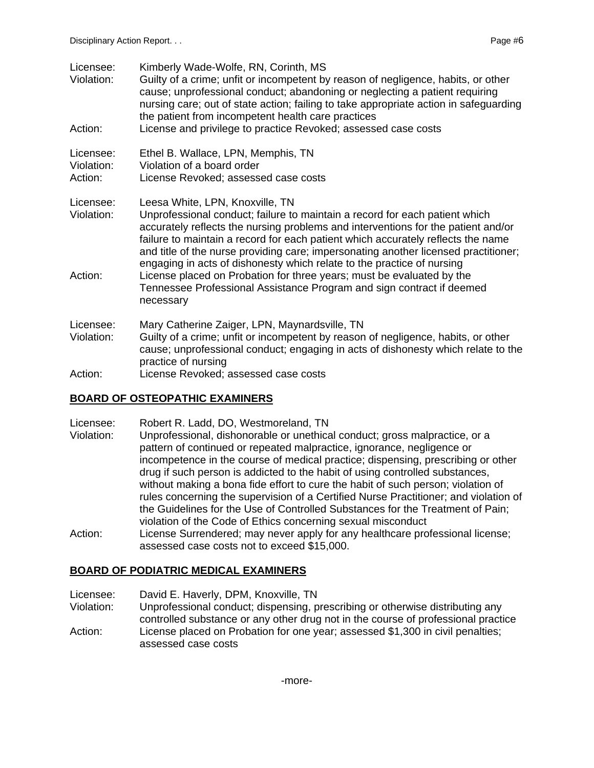| Licensee:<br>Violation:            | Kimberly Wade-Wolfe, RN, Corinth, MS<br>Guilty of a crime; unfit or incompetent by reason of negligence, habits, or other<br>cause; unprofessional conduct; abandoning or neglecting a patient requiring<br>nursing care; out of state action; failing to take appropriate action in safeguarding<br>the patient from incompetent health care practices                                                                                                                                                                                                                                                    |
|------------------------------------|------------------------------------------------------------------------------------------------------------------------------------------------------------------------------------------------------------------------------------------------------------------------------------------------------------------------------------------------------------------------------------------------------------------------------------------------------------------------------------------------------------------------------------------------------------------------------------------------------------|
| Action:                            | License and privilege to practice Revoked; assessed case costs                                                                                                                                                                                                                                                                                                                                                                                                                                                                                                                                             |
| Licensee:<br>Violation:<br>Action: | Ethel B. Wallace, LPN, Memphis, TN<br>Violation of a board order<br>License Revoked; assessed case costs                                                                                                                                                                                                                                                                                                                                                                                                                                                                                                   |
| Licensee:<br>Violation:<br>Action: | Leesa White, LPN, Knoxville, TN<br>Unprofessional conduct; failure to maintain a record for each patient which<br>accurately reflects the nursing problems and interventions for the patient and/or<br>failure to maintain a record for each patient which accurately reflects the name<br>and title of the nurse providing care; impersonating another licensed practitioner;<br>engaging in acts of dishonesty which relate to the practice of nursing<br>License placed on Probation for three years; must be evaluated by the<br>Tennessee Professional Assistance Program and sign contract if deemed |
|                                    | necessary                                                                                                                                                                                                                                                                                                                                                                                                                                                                                                                                                                                                  |
| Licensee:<br>Violation:            | Mary Catherine Zaiger, LPN, Maynardsville, TN<br>Guilty of a crime; unfit or incompetent by reason of negligence, habits, or other<br>cause; unprofessional conduct; engaging in acts of dishonesty which relate to the<br>practice of nursing                                                                                                                                                                                                                                                                                                                                                             |
| Action:                            | License Revoked; assessed case costs                                                                                                                                                                                                                                                                                                                                                                                                                                                                                                                                                                       |

#### **BOARD OF OSTEOPATHIC EXAMINERS**

- Licensee: Robert R. Ladd, DO, Westmoreland, TN
- Violation: Unprofessional, dishonorable or unethical conduct; gross malpractice, or a pattern of continued or repeated malpractice, ignorance, negligence or incompetence in the course of medical practice; dispensing, prescribing or other drug if such person is addicted to the habit of using controlled substances, without making a bona fide effort to cure the habit of such person; violation of rules concerning the supervision of a Certified Nurse Practitioner; and violation of the Guidelines for the Use of Controlled Substances for the Treatment of Pain; violation of the Code of Ethics concerning sexual misconduct
- Action: License Surrendered; may never apply for any healthcare professional license; assessed case costs not to exceed \$15,000.

#### **BOARD OF PODIATRIC MEDICAL EXAMINERS**

Licensee: David E. Haverly, DPM, Knoxville, TN

- Violation: Unprofessional conduct; dispensing, prescribing or otherwise distributing any controlled substance or any other drug not in the course of professional practice
- Action: License placed on Probation for one year; assessed \$1,300 in civil penalties; assessed case costs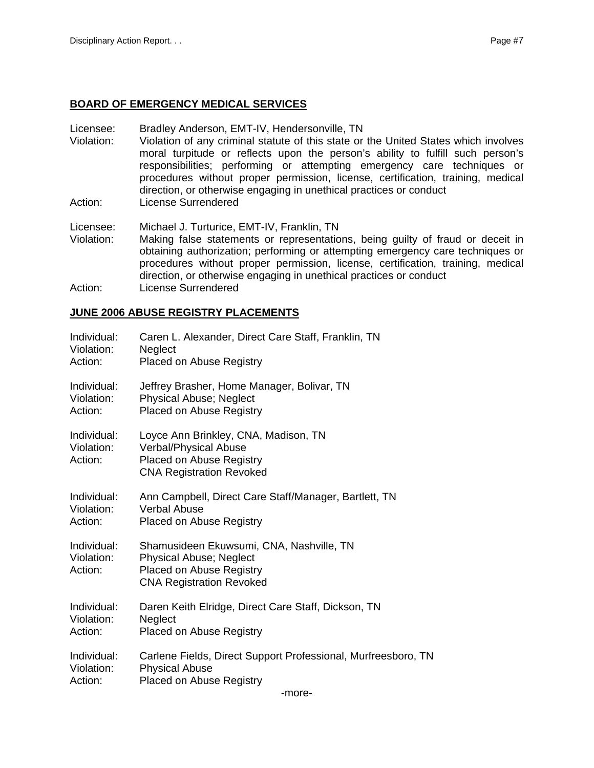## **BOARD OF EMERGENCY MEDICAL SERVICES**

- Licensee: Bradley Anderson, EMT-IV, Hendersonville, TN
- Violation: Violation of any criminal statute of this state or the United States which involves moral turpitude or reflects upon the person's ability to fulfill such person's responsibilities; performing or attempting emergency care techniques or procedures without proper permission, license, certification, training, medical direction, or otherwise engaging in unethical practices or conduct
- Action: License Surrendered

Licensee: Michael J. Turturice, EMT-IV, Franklin, TN

Violation: Making false statements or representations, being guilty of fraud or deceit in obtaining authorization; performing or attempting emergency care techniques or procedures without proper permission, license, certification, training, medical direction, or otherwise engaging in unethical practices or conduct Action: License Surrendered

#### **JUNE 2006 ABUSE REGISTRY PLACEMENTS**

| Individual:                          | Caren L. Alexander, Direct Care Staff, Franklin, TN                                                                                              |
|--------------------------------------|--------------------------------------------------------------------------------------------------------------------------------------------------|
| Violation:                           | Neglect                                                                                                                                          |
| Action:                              | <b>Placed on Abuse Registry</b>                                                                                                                  |
| Individual:                          | Jeffrey Brasher, Home Manager, Bolivar, TN                                                                                                       |
| Violation:                           | <b>Physical Abuse; Neglect</b>                                                                                                                   |
| Action:                              | <b>Placed on Abuse Registry</b>                                                                                                                  |
| Individual:<br>Violation:<br>Action: | Loyce Ann Brinkley, CNA, Madison, TN<br>Verbal/Physical Abuse<br><b>Placed on Abuse Registry</b><br><b>CNA Registration Revoked</b>              |
| Individual:                          | Ann Campbell, Direct Care Staff/Manager, Bartlett, TN                                                                                            |
| Violation:                           | <b>Verbal Abuse</b>                                                                                                                              |
| Action:                              | Placed on Abuse Registry                                                                                                                         |
| Individual:<br>Violation:<br>Action: | Shamusideen Ekuwsumi, CNA, Nashville, TN<br><b>Physical Abuse; Neglect</b><br><b>Placed on Abuse Registry</b><br><b>CNA Registration Revoked</b> |
| Individual:                          | Daren Keith Elridge, Direct Care Staff, Dickson, TN                                                                                              |
| Violation:                           | Neglect                                                                                                                                          |
| Action:                              | <b>Placed on Abuse Registry</b>                                                                                                                  |
| Individual:                          | Carlene Fields, Direct Support Professional, Murfreesboro, TN                                                                                    |
| Violation:                           | <b>Physical Abuse</b>                                                                                                                            |
| Action:                              | <b>Placed on Abuse Registry</b>                                                                                                                  |